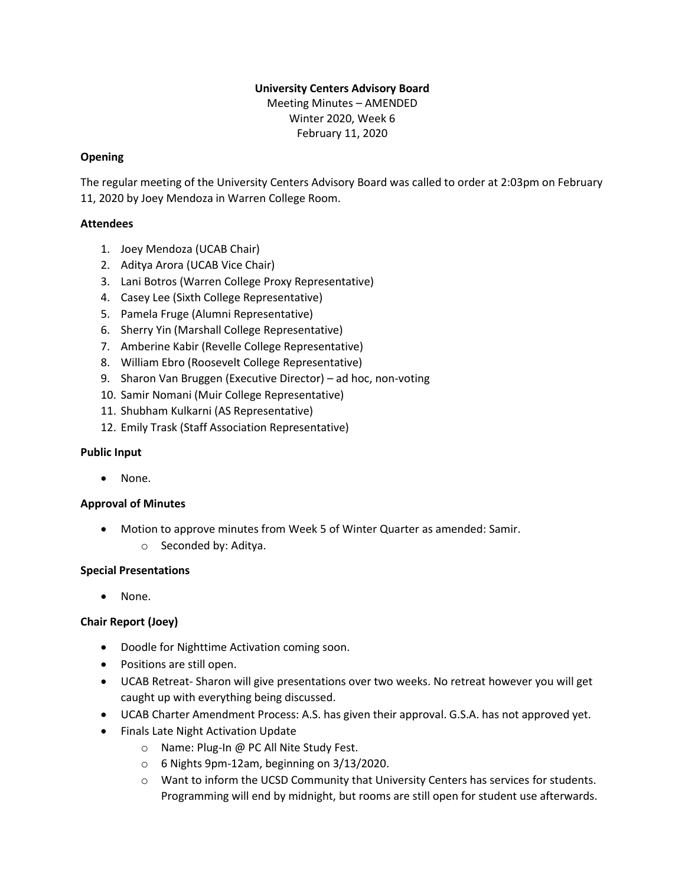# **University Centers Advisory Board**

Meeting Minutes – AMENDED Winter 2020, Week 6 February 11, 2020

### **Opening**

The regular meeting of the University Centers Advisory Board was called to order at 2:03pm on February 11, 2020 by Joey Mendoza in Warren College Room.

### **Attendees**

- 1. Joey Mendoza (UCAB Chair)
- 2. Aditya Arora (UCAB Vice Chair)
- 3. Lani Botros (Warren College Proxy Representative)
- 4. Casey Lee (Sixth College Representative)
- 5. Pamela Fruge (Alumni Representative)
- 6. Sherry Yin (Marshall College Representative)
- 7. Amberine Kabir (Revelle College Representative)
- 8. William Ebro (Roosevelt College Representative)
- 9. Sharon Van Bruggen (Executive Director) ad hoc, non-voting
- 10. Samir Nomani (Muir College Representative)
- 11. Shubham Kulkarni (AS Representative)
- 12. Emily Trask (Staff Association Representative)

#### **Public Input**

• None.

## **Approval of Minutes**

• Motion to approve minutes from Week 5 of Winter Quarter as amended: Samir. o Seconded by: Aditya.

#### **Special Presentations**

• None.

## **Chair Report (Joey)**

- Doodle for Nighttime Activation coming soon.
- Positions are still open.
- UCAB Retreat- Sharon will give presentations over two weeks. No retreat however you will get caught up with everything being discussed.
- UCAB Charter Amendment Process: A.S. has given their approval. G.S.A. has not approved yet.
- Finals Late Night Activation Update
	- o Name: Plug-In @ PC All Nite Study Fest.
	- o 6 Nights 9pm-12am, beginning on 3/13/2020.
	- o Want to inform the UCSD Community that University Centers has services for students. Programming will end by midnight, but rooms are still open for student use afterwards.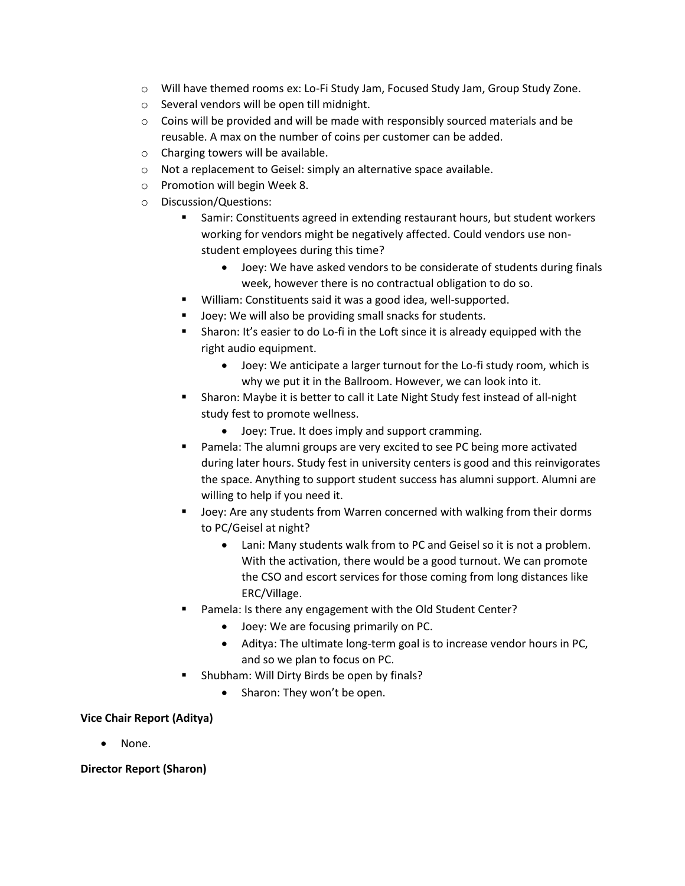- o Will have themed rooms ex: Lo-Fi Study Jam, Focused Study Jam, Group Study Zone.
- o Several vendors will be open till midnight.
- $\circ$  Coins will be provided and will be made with responsibly sourced materials and be reusable. A max on the number of coins per customer can be added.
- o Charging towers will be available.
- o Not a replacement to Geisel: simply an alternative space available.
- o Promotion will begin Week 8.
- o Discussion/Questions:
	- Samir: Constituents agreed in extending restaurant hours, but student workers working for vendors might be negatively affected. Could vendors use nonstudent employees during this time?
		- Joey: We have asked vendors to be considerate of students during finals week, however there is no contractual obligation to do so.
	- William: Constituents said it was a good idea, well-supported.
	- Joey: We will also be providing small snacks for students.
	- Sharon: It's easier to do Lo-fi in the Loft since it is already equipped with the right audio equipment.
		- Joey: We anticipate a larger turnout for the Lo-fi study room, which is why we put it in the Ballroom. However, we can look into it.
	- Sharon: Maybe it is better to call it Late Night Study fest instead of all-night study fest to promote wellness.
		- Joey: True. It does imply and support cramming.
	- Pamela: The alumni groups are very excited to see PC being more activated during later hours. Study fest in university centers is good and this reinvigorates the space. Anything to support student success has alumni support. Alumni are willing to help if you need it.
	- Joey: Are any students from Warren concerned with walking from their dorms to PC/Geisel at night?
		- Lani: Many students walk from to PC and Geisel so it is not a problem. With the activation, there would be a good turnout. We can promote the CSO and escort services for those coming from long distances like ERC/Village.
	- Pamela: Is there any engagement with the Old Student Center?
		- Joey: We are focusing primarily on PC.
		- Aditya: The ultimate long-term goal is to increase vendor hours in PC, and so we plan to focus on PC.
	- Shubham: Will Dirty Birds be open by finals?
		- Sharon: They won't be open.

#### **Vice Chair Report (Aditya)**

• None.

**Director Report (Sharon)**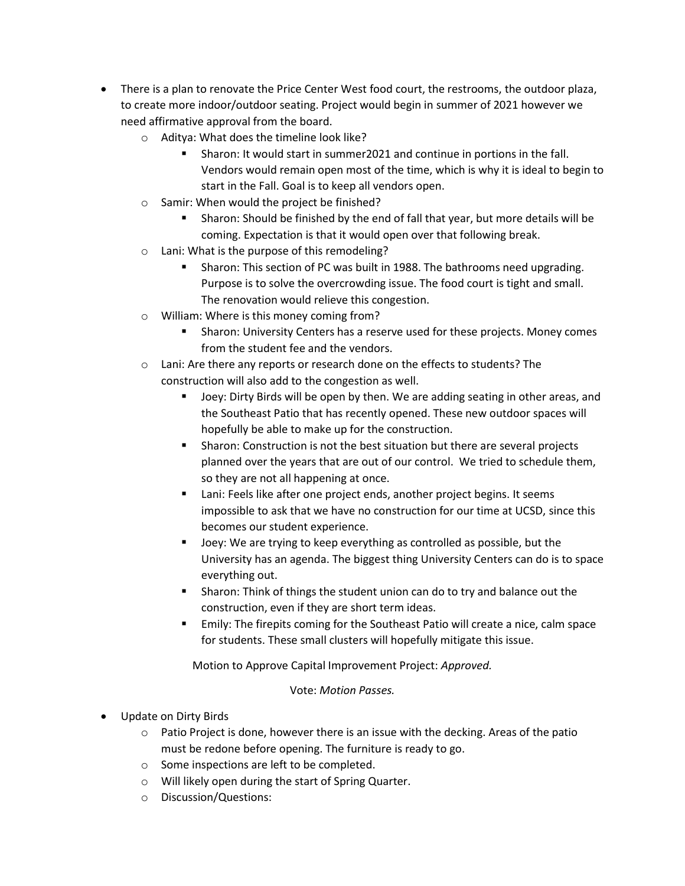- There is a plan to renovate the Price Center West food court, the restrooms, the outdoor plaza, to create more indoor/outdoor seating. Project would begin in summer of 2021 however we need affirmative approval from the board.
	- o Aditya: What does the timeline look like?
		- Sharon: It would start in summer2021 and continue in portions in the fall. Vendors would remain open most of the time, which is why it is ideal to begin to start in the Fall. Goal is to keep all vendors open.
	- o Samir: When would the project be finished?
		- Sharon: Should be finished by the end of fall that year, but more details will be coming. Expectation is that it would open over that following break.
	- o Lani: What is the purpose of this remodeling?
		- Sharon: This section of PC was built in 1988. The bathrooms need upgrading. Purpose is to solve the overcrowding issue. The food court is tight and small. The renovation would relieve this congestion.
	- o William: Where is this money coming from?
		- Sharon: University Centers has a reserve used for these projects. Money comes from the student fee and the vendors.
	- o Lani: Are there any reports or research done on the effects to students? The construction will also add to the congestion as well.
		- Joey: Dirty Birds will be open by then. We are adding seating in other areas, and the Southeast Patio that has recently opened. These new outdoor spaces will hopefully be able to make up for the construction.
		- **EXECT** Sharon: Construction is not the best situation but there are several projects planned over the years that are out of our control. We tried to schedule them, so they are not all happening at once.
		- Lani: Feels like after one project ends, another project begins. It seems impossible to ask that we have no construction for our time at UCSD, since this becomes our student experience.
		- Joey: We are trying to keep everything as controlled as possible, but the University has an agenda. The biggest thing University Centers can do is to space everything out.
		- **EXECT** Sharon: Think of things the student union can do to try and balance out the construction, even if they are short term ideas.
		- Emily: The firepits coming for the Southeast Patio will create a nice, calm space for students. These small clusters will hopefully mitigate this issue.

Motion to Approve Capital Improvement Project: *Approved.*

#### Vote: *Motion Passes.*

- Update on Dirty Birds
	- $\circ$  Patio Project is done, however there is an issue with the decking. Areas of the patio must be redone before opening. The furniture is ready to go.
	- o Some inspections are left to be completed.
	- o Will likely open during the start of Spring Quarter.
	- o Discussion/Questions: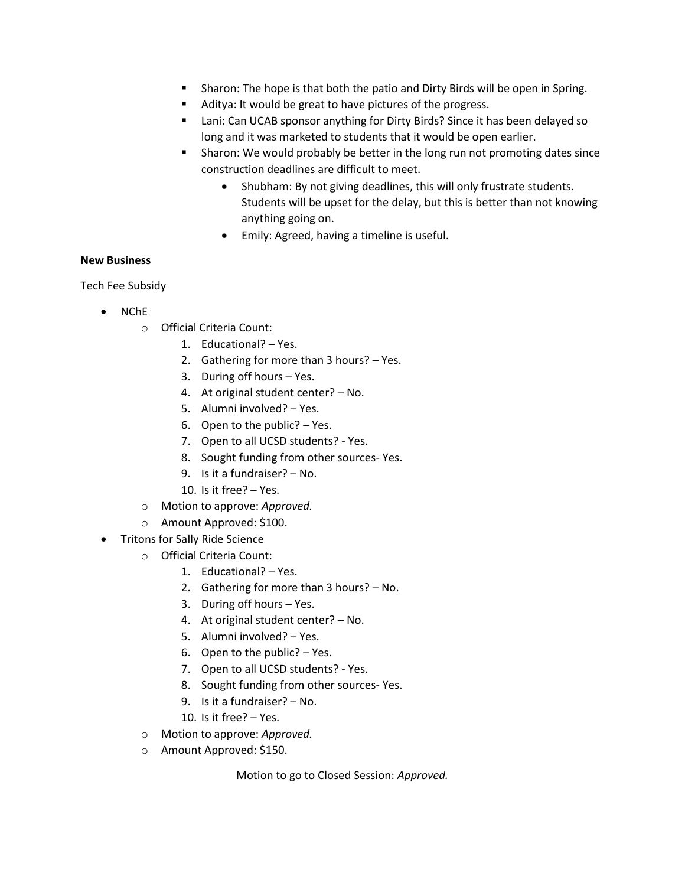- Sharon: The hope is that both the patio and Dirty Birds will be open in Spring.
- Aditya: It would be great to have pictures of the progress.
- Lani: Can UCAB sponsor anything for Dirty Birds? Since it has been delayed so long and it was marketed to students that it would be open earlier.
- Sharon: We would probably be better in the long run not promoting dates since construction deadlines are difficult to meet.
	- Shubham: By not giving deadlines, this will only frustrate students. Students will be upset for the delay, but this is better than not knowing anything going on.
	- Emily: Agreed, having a timeline is useful.

#### **New Business**

Tech Fee Subsidy

- NChE
	- o Official Criteria Count:
		- 1. Educational? Yes.
		- 2. Gathering for more than 3 hours? Yes.
		- 3. During off hours Yes.
		- 4. At original student center? No.
		- 5. Alumni involved? Yes.
		- 6. Open to the public? Yes.
		- 7. Open to all UCSD students? Yes.
		- 8. Sought funding from other sources- Yes.
		- 9. Is it a fundraiser? No.
		- 10. Is it free? Yes.
	- o Motion to approve: *Approved.*
	- o Amount Approved: \$100.
- Tritons for Sally Ride Science
	- o Official Criteria Count:
		- 1. Educational? Yes.
		- 2. Gathering for more than 3 hours? No.
		- 3. During off hours Yes.
		- 4. At original student center? No.
		- 5. Alumni involved? Yes.
		- 6. Open to the public? Yes.
		- 7. Open to all UCSD students? Yes.
		- 8. Sought funding from other sources- Yes.
		- 9. Is it a fundraiser? No.
		- 10. Is it free? Yes.
	- o Motion to approve: *Approved.*
	- o Amount Approved: \$150.

Motion to go to Closed Session: *Approved.*